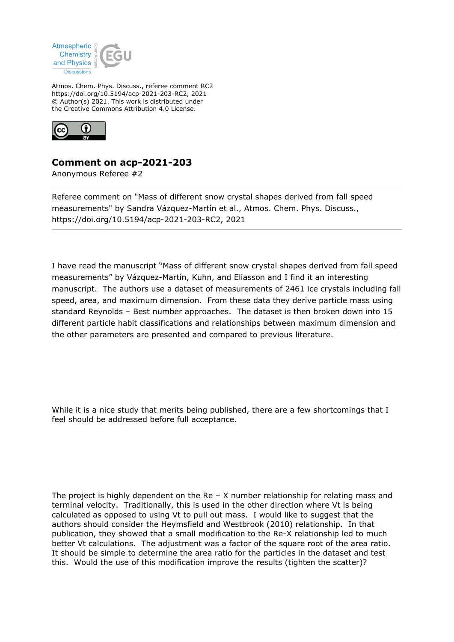

Atmos. Chem. Phys. Discuss., referee comment RC2 https://doi.org/10.5194/acp-2021-203-RC2, 2021 © Author(s) 2021. This work is distributed under the Creative Commons Attribution 4.0 License.



## **Comment on acp-2021-203**

Anonymous Referee #2

Referee comment on "Mass of different snow crystal shapes derived from fall speed measurements" by Sandra Vázquez-Martín et al., Atmos. Chem. Phys. Discuss., https://doi.org/10.5194/acp-2021-203-RC2, 2021

I have read the manuscript "Mass of different snow crystal shapes derived from fall speed measurements" by Vázquez-Martín, Kuhn, and Eliasson and I find it an interesting manuscript. The authors use a dataset of measurements of 2461 ice crystals including fall speed, area, and maximum dimension. From these data they derive particle mass using standard Reynolds – Best number approaches. The dataset is then broken down into 15 different particle habit classifications and relationships between maximum dimension and the other parameters are presented and compared to previous literature.

While it is a nice study that merits being published, there are a few shortcomings that I feel should be addressed before full acceptance.

The project is highly dependent on the Re  $-$  X number relationship for relating mass and terminal velocity. Traditionally, this is used in the other direction where Vt is being calculated as opposed to using Vt to pull out mass. I would like to suggest that the authors should consider the Heymsfield and Westbrook (2010) relationship. In that publication, they showed that a small modification to the Re-X relationship led to much better Vt calculations. The adjustment was a factor of the square root of the area ratio. It should be simple to determine the area ratio for the particles in the dataset and test this. Would the use of this modification improve the results (tighten the scatter)?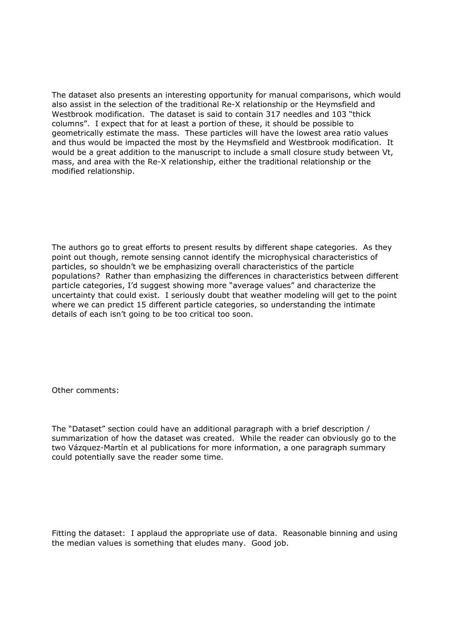The dataset also presents an interesting opportunity for manual comparisons, which would also assist in the selection of the traditional Re-X relationship or the Heymsfield and Westbrook modification. The dataset is said to contain 317 needles and 103 "thick columns". I expect that for at least a portion of these, it should be possible to geometrically estimate the mass. These particles will have the lowest area ratio values and thus would be impacted the most by the Heymsfield and Westbrook modification. It would be a great addition to the manuscript to include a small closure study between Vt, mass, and area with the Re-X relationship, either the traditional relationship or the modified relationship.

The authors go to great efforts to present results by different shape categories. As they point out though, remote sensing cannot identify the microphysical characteristics of particles, so shouldn't we be emphasizing overall characteristics of the particle populations? Rather than emphasizing the differences in characteristics between different particle categories, I'd suggest showing more "average values" and characterize the uncertainty that could exist. I seriously doubt that weather modeling will get to the point where we can predict 15 different particle categories, so understanding the intimate details of each isn't going to be too critical too soon.

Other comments:

The "Dataset" section could have an additional paragraph with a brief description / summarization of how the dataset was created. While the reader can obviously go to the two Vázquez-Martín et al publications for more information, a one paragraph summary could potentially save the reader some time.

Fitting the dataset: I applaud the appropriate use of data. Reasonable binning and using the median values is something that eludes many. Good job.